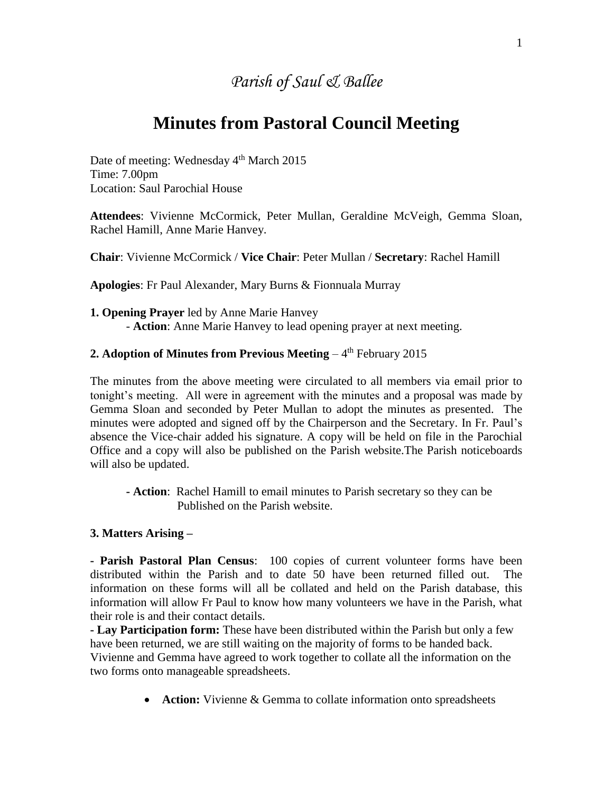## *Parish of Saul & Ballee*

# **Minutes from Pastoral Council Meeting**

Date of meeting: Wednesday 4<sup>th</sup> March 2015 Time: 7.00pm Location: Saul Parochial House

**Attendees**: Vivienne McCormick, Peter Mullan, Geraldine McVeigh, Gemma Sloan, Rachel Hamill, Anne Marie Hanvey.

**Chair**: Vivienne McCormick / **Vice Chair**: Peter Mullan / **Secretary**: Rachel Hamill

**Apologies**: Fr Paul Alexander, Mary Burns & Fionnuala Murray

**1. Opening Prayer** led by Anne Marie Hanvey - **Action**: Anne Marie Hanvey to lead opening prayer at next meeting.

### **2. Adoption of Minutes from Previous Meeting – 4th February 2015**

The minutes from the above meeting were circulated to all members via email prior to tonight's meeting. All were in agreement with the minutes and a proposal was made by Gemma Sloan and seconded by Peter Mullan to adopt the minutes as presented. The minutes were adopted and signed off by the Chairperson and the Secretary. In Fr. Paul's absence the Vice-chair added his signature. A copy will be held on file in the Parochial Office and a copy will also be published on the Parish website.The Parish noticeboards will also be updated.

**- Action**: Rachel Hamill to email minutes to Parish secretary so they can be Published on the Parish website.

#### **3. Matters Arising –**

**- Parish Pastoral Plan Census**: 100 copies of current volunteer forms have been distributed within the Parish and to date 50 have been returned filled out. The information on these forms will all be collated and held on the Parish database, this information will allow Fr Paul to know how many volunteers we have in the Parish, what their role is and their contact details.

**- Lay Participation form:** These have been distributed within the Parish but only a few have been returned, we are still waiting on the majority of forms to be handed back. Vivienne and Gemma have agreed to work together to collate all the information on the two forms onto manageable spreadsheets.

• **Action:** Vivienne & Gemma to collate information onto spreadsheets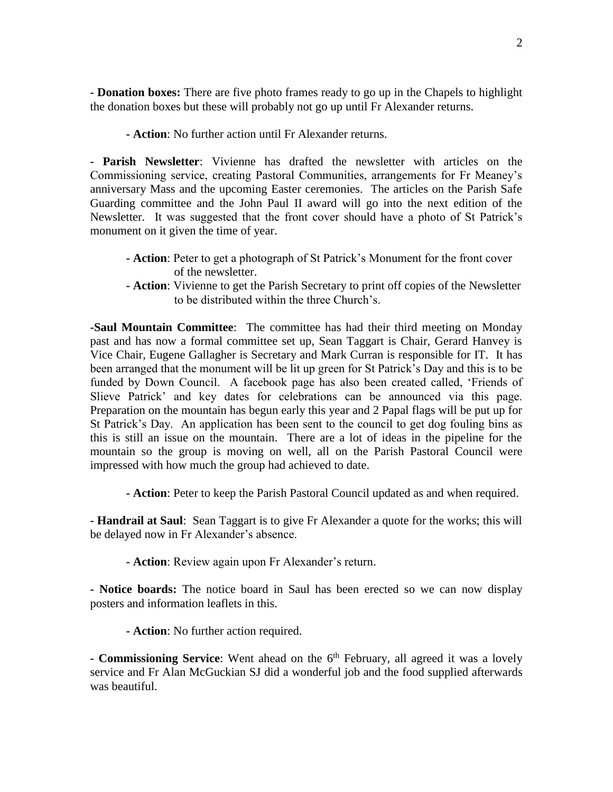**- Donation boxes:** There are five photo frames ready to go up in the Chapels to highlight the donation boxes but these will probably not go up until Fr Alexander returns.

**- Action**: No further action until Fr Alexander returns.

**- Parish Newsletter**: Vivienne has drafted the newsletter with articles on the Commissioning service, creating Pastoral Communities, arrangements for Fr Meaney's anniversary Mass and the upcoming Easter ceremonies. The articles on the Parish Safe Guarding committee and the John Paul II award will go into the next edition of the Newsletter. It was suggested that the front cover should have a photo of St Patrick's monument on it given the time of year.

- **- Action**: Peter to get a photograph of St Patrick's Monument for the front cover of the newsletter.
- **- Action**: Vivienne to get the Parish Secretary to print off copies of the Newsletter to be distributed within the three Church's.

**-Saul Mountain Committee**: The committee has had their third meeting on Monday past and has now a formal committee set up, Sean Taggart is Chair, Gerard Hanvey is Vice Chair, Eugene Gallagher is Secretary and Mark Curran is responsible for IT. It has been arranged that the monument will be lit up green for St Patrick's Day and this is to be funded by Down Council. A facebook page has also been created called, 'Friends of Slieve Patrick' and key dates for celebrations can be announced via this page. Preparation on the mountain has begun early this year and 2 Papal flags will be put up for St Patrick's Day. An application has been sent to the council to get dog fouling bins as this is still an issue on the mountain. There are a lot of ideas in the pipeline for the mountain so the group is moving on well, all on the Parish Pastoral Council were impressed with how much the group had achieved to date.

**- Action**: Peter to keep the Parish Pastoral Council updated as and when required.

**- Handrail at Saul**: Sean Taggart is to give Fr Alexander a quote for the works; this will be delayed now in Fr Alexander's absence.

**- Action**: Review again upon Fr Alexander's return.

**- Notice boards:** The notice board in Saul has been erected so we can now display posters and information leaflets in this.

**- Action**: No further action required.

**- Commissioning Service**: Went ahead on the 6<sup>th</sup> February, all agreed it was a lovely service and Fr Alan McGuckian SJ did a wonderful job and the food supplied afterwards was beautiful.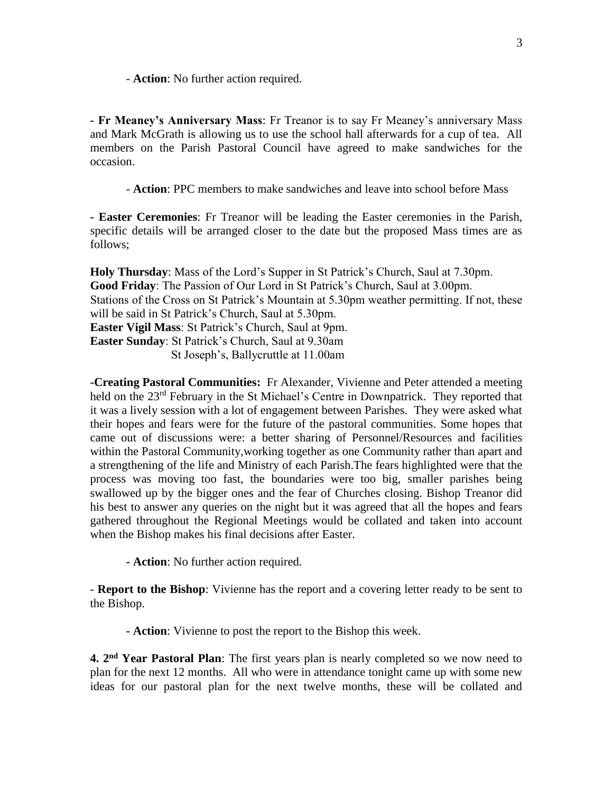- **Action**: No further action required.

**- Fr Meaney's Anniversary Mass**: Fr Treanor is to say Fr Meaney's anniversary Mass and Mark McGrath is allowing us to use the school hall afterwards for a cup of tea. All members on the Parish Pastoral Council have agreed to make sandwiches for the occasion.

- **Action**: PPC members to make sandwiches and leave into school before Mass

**- Easter Ceremonies**: Fr Treanor will be leading the Easter ceremonies in the Parish, specific details will be arranged closer to the date but the proposed Mass times are as follows;

**Holy Thursday**: Mass of the Lord's Supper in St Patrick's Church, Saul at 7.30pm. **Good Friday**: The Passion of Our Lord in St Patrick's Church, Saul at 3.00pm. Stations of the Cross on St Patrick's Mountain at 5.30pm weather permitting. If not, these will be said in St Patrick's Church, Saul at 5.30pm. **Easter Vigil Mass**: St Patrick's Church, Saul at 9pm. **Easter Sunday**: St Patrick's Church, Saul at 9.30am St Joseph's, Ballycruttle at 11.00am

**-Creating Pastoral Communities:** Fr Alexander, Vivienne and Peter attended a meeting held on the 23<sup>rd</sup> February in the St Michael's Centre in Downpatrick. They reported that it was a lively session with a lot of engagement between Parishes. They were asked what their hopes and fears were for the future of the pastoral communities. Some hopes that came out of discussions were: a better sharing of Personnel/Resources and facilities within the Pastoral Community,working together as one Community rather than apart and a strengthening of the life and Ministry of each Parish.The fears highlighted were that the process was moving too fast, the boundaries were too big, smaller parishes being swallowed up by the bigger ones and the fear of Churches closing. Bishop Treanor did his best to answer any queries on the night but it was agreed that all the hopes and fears gathered throughout the Regional Meetings would be collated and taken into account when the Bishop makes his final decisions after Easter.

**- Action**: No further action required.

- **Report to the Bishop**: Vivienne has the report and a covering letter ready to be sent to the Bishop.

**- Action**: Vivienne to post the report to the Bishop this week.

**4. 2nd Year Pastoral Plan**: The first years plan is nearly completed so we now need to plan for the next 12 months. All who were in attendance tonight came up with some new ideas for our pastoral plan for the next twelve months, these will be collated and